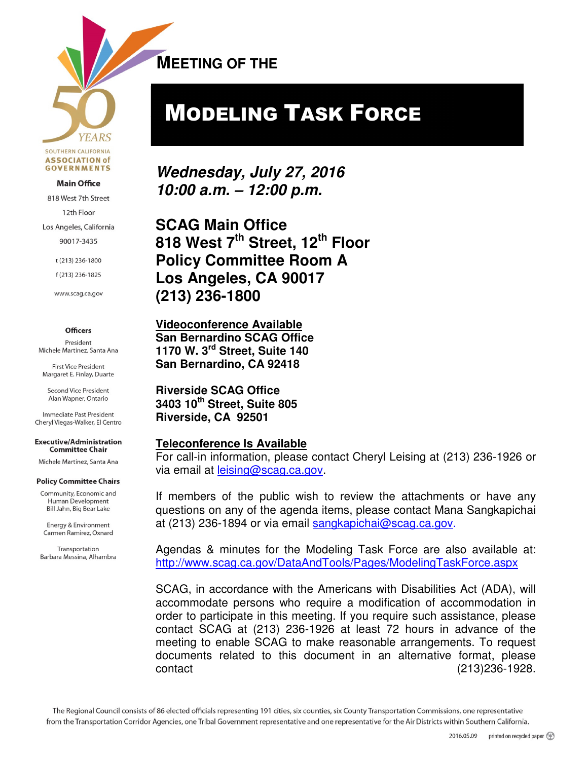**YEARS** SOUTHERN CALIFORNIA **ASSOCIATION of GOVERNMENTS** 

#### **Main Office**

818 West 7th Street

12th Floor

Los Angeles, California

90017-3435

t (213) 236-1800

f(213) 236-1825

www.scag.ca.gov

#### **Officers**

President Michele Martinez, Santa Ana

**First Vice President** Margaret E. Finlay, Duarte

Second Vice President Alan Wapner, Ontario

Immediate Past President Cheryl Viegas-Walker, El Centro

**Executive/Administration Committee Chair** 

Michele Martinez, Santa Ana

#### **Policy Committee Chairs**

Community, Economic and Human Development Bill Jahn, Big Bear Lake

Energy & Environment Carmen Ramirez, Oxnard

Transportation Barbara Messina, Alhambra **MEETING OF THE**   $\overline{a}$ 

# MODELING TASK FORCE

**Wednesday, July 27, 2016 10:00 a.m. – 12:00 p.m.** 

**SCAG Main Office 818 West 7th Street, 12th Floor Policy Committee Room A Los Angeles, CA 90017 (213) 236-1800** 

**Videoconference Available San Bernardino SCAG Office 1170 W. 3rd Street, Suite 140 San Bernardino, CA 92418** 

**Riverside SCAG Office 3403 10th Street, Suite 805 Riverside, CA 92501** 

#### **Teleconference Is Available**

For call-in information, please contact Cheryl Leising at (213) 236-1926 or via email at leising@scag.ca.gov.

If members of the public wish to review the attachments or have any questions on any of the agenda items, please contact Mana Sangkapichai at (213) 236-1894 or via email sangkapichai@scag.ca.gov.

Agendas & minutes for the Modeling Task Force are also available at: http://www.scag.ca.gov/DataAndTools/Pages/ModelingTaskForce.aspx

SCAG, in accordance with the Americans with Disabilities Act (ADA), will accommodate persons who require a modification of accommodation in order to participate in this meeting. If you require such assistance, please contact SCAG at (213) 236-1926 at least 72 hours in advance of the meeting to enable SCAG to make reasonable arrangements. To request documents related to this document in an alternative format, please contact (213)236-1928.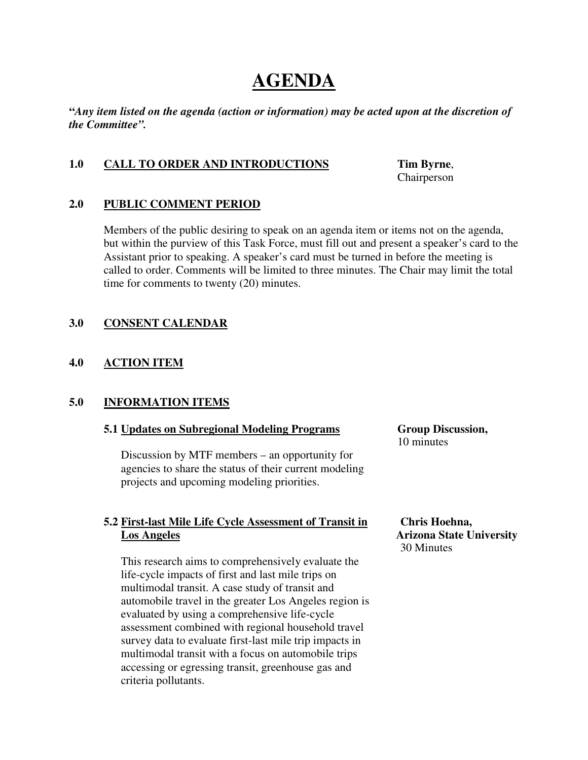# **AGENDA**

**"***Any item listed on the agenda (action or information) may be acted upon at the discretion of the Committee".* 

#### **1.0 CALL TO ORDER AND INTRODUCTIONS Tim Byrne**,

Chairperson

#### **2.0 PUBLIC COMMENT PERIOD**

Members of the public desiring to speak on an agenda item or items not on the agenda, but within the purview of this Task Force, must fill out and present a speaker's card to the Assistant prior to speaking. A speaker's card must be turned in before the meeting is called to order. Comments will be limited to three minutes. The Chair may limit the total time for comments to twenty (20) minutes.

#### **3.0 CONSENT CALENDAR**

#### **4.0 ACTION ITEM**

#### **5.0 INFORMATION ITEMS**

#### **5.1 Updates on Subregional Modeling Programs Group Discussion,**

Discussion by MTF members – an opportunity for agencies to share the status of their current modeling projects and upcoming modeling priorities.

#### **5.2 First-last Mile Life Cycle Assessment of Transit in Chris Hoehna, Los Angeles Arizona State University**

This research aims to comprehensively evaluate the life-cycle impacts of first and last mile trips on multimodal transit. A case study of transit and automobile travel in the greater Los Angeles region is evaluated by using a comprehensive life-cycle assessment combined with regional household travel survey data to evaluate first-last mile trip impacts in multimodal transit with a focus on automobile trips accessing or egressing transit, greenhouse gas and criteria pollutants.

10 minutes

30 Minutes